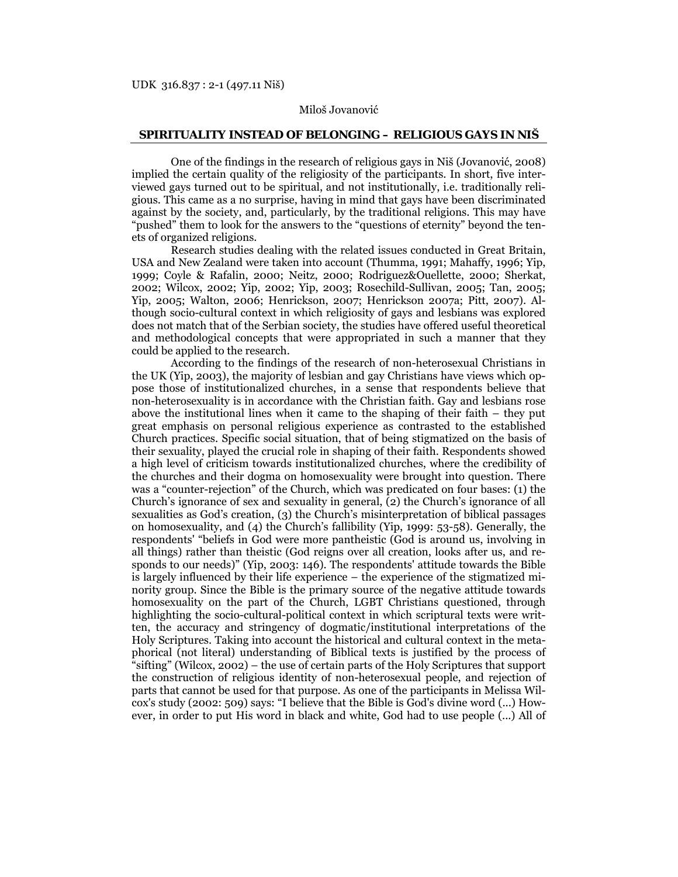## Miloš Jovanović

## **SPIRITUALITY INSTEAD OF BELONGING – RELIGIOUS GAYS IN NIŠ**

One of the findings in the research of religious gays in Niš (Jovanović, 2008) implied the certain quality of the religiosity of the participants. In short, five interviewed gays turned out to be spiritual, and not institutionally, i.e. traditionally religious. This came as a no surprise, having in mind that gays have been discriminated against by the society, and, particularly, by the traditional religions. This may have "pushed" them to look for the answers to the "questions of eternity" beyond the tenets of organized religions.

Research studies dealing with the related issues conducted in Great Britain, USA and New Zealand were taken into account (Thumma, 1991; Mahaffy, 1996; Yip, 1999; Coyle & Rafalin, 2000; Neitz, 2000; Rodriguez&Ouellette, 2000; Sherkat, 2002; Wilcox, 2002; Yip, 2002; Yip, 2003; Rosechild-Sullivan, 2005; Tan, 2005; Yip, 2005; Walton, 2006; Henrickson, 2007; Henrickson 2007a; Pitt, 2007). Although socio-cultural context in which religiosity of gays and lesbians was explored does not match that of the Serbian society, the studies have offered useful theoretical and methodological concepts that were appropriated in such a manner that they could be applied to the research.

According to the findings of the research of non-heterosexual Christians in the UK (Yip, 2003), the majority of lesbian and gay Christians have views which oppose those of institutionalized churches, in a sense that respondents believe that non-heterosexuality is in accordance with the Christian faith. Gay and lesbians rose above the institutional lines when it came to the shaping of their faith – they put great emphasis on personal religious experience as contrasted to the established Church practices. Specific social situation, that of being stigmatized on the basis of their sexuality, played the crucial role in shaping of their faith. Respondents showed a high level of criticism towards institutionalized churches, where the credibility of the churches and their dogma on homosexuality were brought into question. There was a "counter-rejection" of the Church, which was predicated on four bases: (1) the Church's ignorance of sex and sexuality in general, (2) the Church's ignorance of all sexualities as God's creation, (3) the Church's misinterpretation of biblical passages on homosexuality, and (4) the Church's fallibility (Yip, 1999: 53-58). Generally, the respondents' "beliefs in God were more pantheistic (God is around us, involving in all things) rather than theistic (God reigns over all creation, looks after us, and responds to our needs)" (Yip, 2003: 146). The respondents' attitude towards the Bible is largely influenced by their life experience – the experience of the stigmatized minority group. Since the Bible is the primary source of the negative attitude towards homosexuality on the part of the Church, LGBT Christians questioned, through highlighting the socio-cultural-political context in which scriptural texts were written, the accuracy and stringency of dogmatic/institutional interpretations of the Holy Scriptures. Taking into account the historical and cultural context in the metaphorical (not literal) understanding of Biblical texts is justified by the process of "sifting" (Wilcox, 2002) – the use of certain parts of the Holy Scriptures that support the construction of religious identity of non-heterosexual people, and rejection of parts that cannot be used for that purpose. As one of the participants in Melissa Wilcox's study (2002: 509) says: "I believe that the Bible is God's divine word (...) However, in order to put His word in black and white, God had to use people (...) All of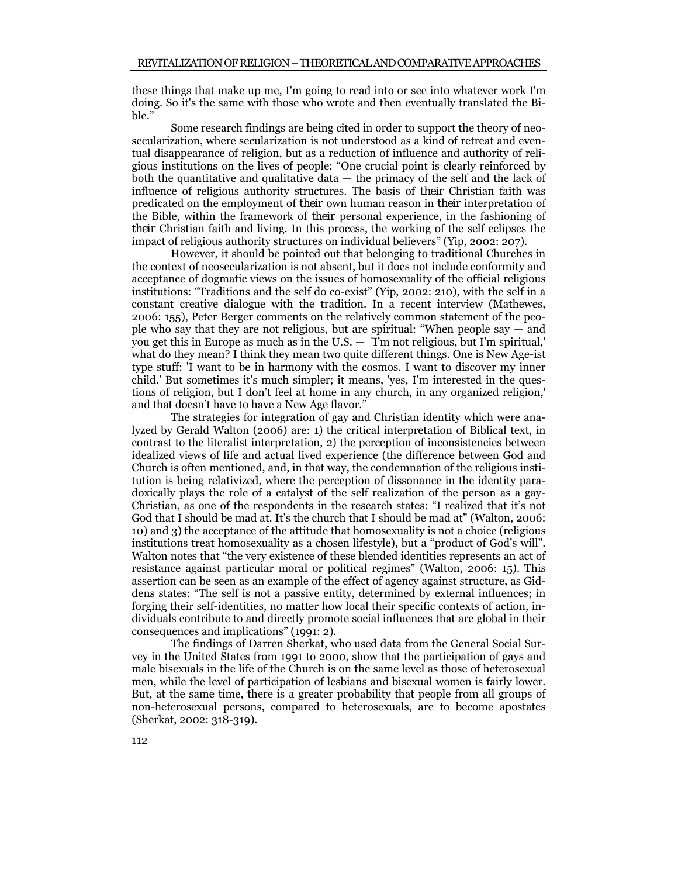these things that make up me, I'm going to read into or see into whatever work I'm doing. So it's the same with those who wrote and then eventually translated the Bible."

Some research findings are being cited in order to support the theory of neosecularization, where secularization is not understood as a kind of retreat and eventual disappearance of religion, but as a reduction of influence and authority of religious institutions on the lives of people: "One crucial point is clearly reinforced by both the quantitative and qualitative data — the primacy of the self and the lack of influence of religious authority structures. The basis of *their* Christian faith was predicated on the employment of *their* own human reason in *their* interpretation of the Bible, within the framework of *their* personal experience, in the fashioning of *their* Christian faith and living. In this process, the working of the self eclipses the impact of religious authority structures on individual believers" (Yip, 2002: 207).

However, it should be pointed out that belonging to traditional Churches in the context of neosecularization is not absent, but it does not include conformity and acceptance of dogmatic views on the issues of homosexuality of the official religious institutions: "Traditions and the self do co-exist" (Yip, 2002: 210), with the self in a constant creative dialogue with the tradition. In a recent interview (Mathewes, 2006: 155), Peter Berger comments on the relatively common statement of the people who say that they are not religious, but are spiritual: "When people say — and you get this in Europe as much as in the U.S. — 'I'm not religious, but I'm spiritual,' what do they mean? I think they mean two quite different things. One is New Age-ist type stuff: 'I want to be in harmony with the cosmos. I want to discover my inner child.' But sometimes it's much simpler; it means, 'yes, I'm interested in the questions of religion, but I don't feel at home in any church, in any organized religion,' and that doesn't have to have a New Age flavor."

The strategies for integration of gay and Christian identity which were analyzed by Gerald Walton (2006) are: 1) the critical interpretation of Biblical text, in contrast to the literalist interpretation, 2) the perception of inconsistencies between idealized views of life and actual lived experience (the difference between God and Church is often mentioned, and, in that way, the condemnation of the religious institution is being relativized, where the perception of dissonance in the identity paradoxically plays the role of a catalyst of the self realization of the person as a gay-Christian, as one of the respondents in the research states: "I realized that it's not God that I should be mad at. It's the church that I should be mad at" (Walton, 2006: 10) and 3) the acceptance of the attitude that homosexuality is not a choice (religious institutions treat homosexuality as a chosen lifestyle), but a "product of God's will". Walton notes that "the very existence of these blended identities represents an act of resistance against particular moral or political regimes" (Walton, 2006: 15). This assertion can be seen as an example of the effect of agency against structure, as Giddens states: "The self is not a passive entity, determined by external influences; in forging their self-identities, no matter how local their specific contexts of action, individuals contribute to and directly promote social influences that are global in their consequences and implications" (1991: 2).

The findings of Darren Sherkat, who used data from the General Social Survey in the United States from 1991 to 2000, show that the participation of gays and male bisexuals in the life of the Church is on the same level as those of heterosexual men, while the level of participation of lesbians and bisexual women is fairly lower. But, at the same time, there is a greater probability that people from all groups of non-heterosexual persons, compared to heterosexuals, are to become apostates (Sherkat, 2002: 318-319).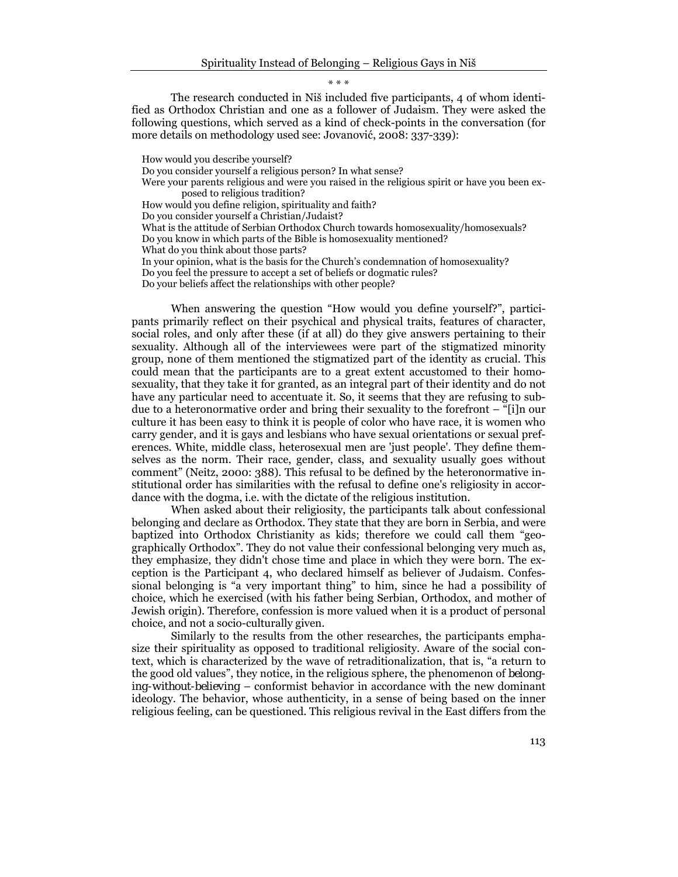\* \* \*

The research conducted in Niš included five participants, 4 of whom identified as Orthodox Christian and one as a follower of Judaism. They were asked the following questions, which served as a kind of check-points in the conversation (for more details on methodology used see: Jovanović, 2008: 337-339):

How would you describe yourself? Do you consider yourself a religious person? In what sense? Were your parents religious and were you raised in the religious spirit or have you been exposed to religious tradition? How would you define religion, spirituality and faith? Do you consider yourself a Christian/Judaist? What is the attitude of Serbian Orthodox Church towards homosexuality/homosexuals? Do you know in which parts of the Bible is homosexuality mentioned? What do you think about those parts? In your opinion, what is the basis for the Church's condemnation of homosexuality? Do you feel the pressure to accept a set of beliefs or dogmatic rules? Do your beliefs affect the relationships with other people?

When answering the question "How would you define yourself?", participants primarily reflect on their psychical and physical traits, features of character, social roles, and only after these (if at all) do they give answers pertaining to their sexuality. Although all of the interviewees were part of the stigmatized minority group, none of them mentioned the stigmatized part of the identity as crucial. This could mean that the participants are to a great extent accustomed to their homosexuality, that they take it for granted, as an integral part of their identity and do not have any particular need to accentuate it. So, it seems that they are refusing to subdue to a heteronormative order and bring their sexuality to the forefront – "[i]n our culture it has been easy to think it is people of color who have race, it is women who carry gender, and it is gays and lesbians who have sexual orientations or sexual preferences. White, middle class, heterosexual men are 'just people'. They define themselves as the norm. Their race, gender, class, and sexuality usually goes without comment" (Neitz, 2000: 388). This refusal to be defined by the heteronormative institutional order has similarities with the refusal to define one's religiosity in accordance with the dogma, i.e. with the dictate of the religious institution.

When asked about their religiosity, the participants talk about confessional belonging and declare as Orthodox. They state that they are born in Serbia, and were baptized into Orthodox Christianity as kids; therefore we could call them "geographically Orthodox". They do not value their confessional belonging very much as, they emphasize, they didn't chose time and place in which they were born. The exception is the Participant 4, who declared himself as believer of Judaism. Confessional belonging is "a very important thing" to him, since he had a possibility of choice, which he exercised (with his father being Serbian, Orthodox, and mother of Jewish origin). Therefore, confession is more valued when it is a product of personal choice, and not a socio-culturally given.

Similarly to the results from the other researches, the participants emphasize their spirituality as opposed to traditional religiosity. Aware of the social context, which is characterized by the wave of retraditionalization, that is, "a return to the good old values", they notice, in the religious sphere, the phenomenon of *belonging-without-believing* – conformist behavior in accordance with the new dominant ideology. The behavior, whose authenticity, in a sense of being based on the inner religious feeling, can be questioned. This religious revival in the East differs from the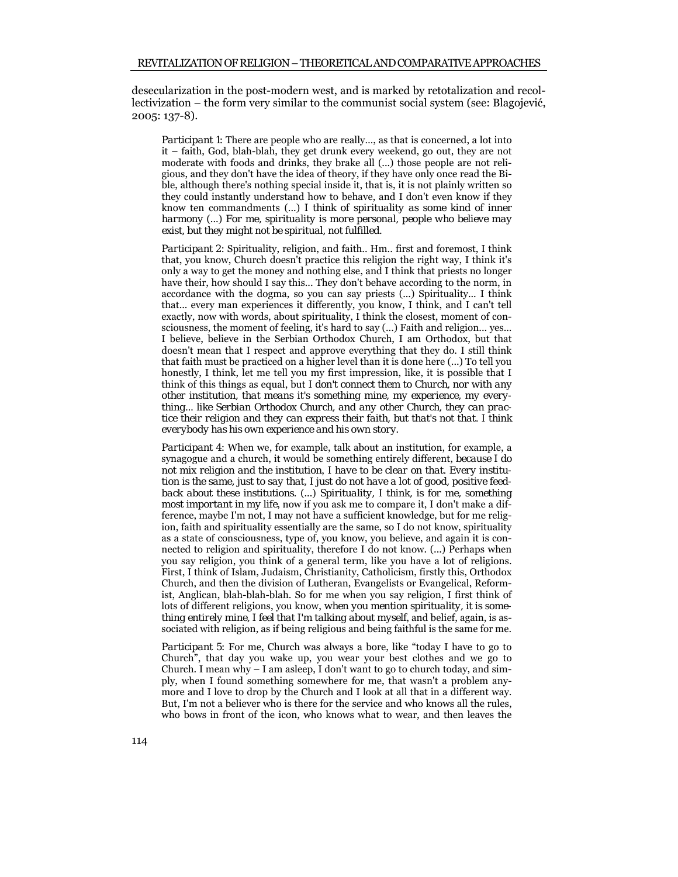desecularization in the post-modern west, and is marked by retotalization and recollectivization – the form very similar to the communist social system (see: Blagojević, 2005: 137-8).

*Participant 1*: There are people who are really..., as that is concerned, a lot into it – faith, God, blah-blah, they get drunk every weekend, go out, they are not moderate with foods and drinks, they brake all (...) those people are not religious, and they don't have the idea of theory, if they have only once read the Bible, although there's nothing special inside it, that is, it is not plainly written so they could instantly understand how to behave, and I don't even know if they know ten commandments (...) *I think of spirituality as some kind of inner harmony* (...) *For me, spirituality is more personal, people who believe may exist, but they might not be spiritual, not fulfilled*.

*Participant 2*: Spirituality, religion, and faith.. Hm.. first and foremost, I think that, you know, Church doesn't practice this religion the right way, I think it's only a way to get the money and nothing else, and I think that priests no longer have their, how should I say this... They don't behave according to the norm, in accordance with the dogma, so you can say priests (...) Spirituality... I think that... every man experiences it differently, you know, I think, and I can't tell exactly, now with words, about spirituality, I think the closest, moment of consciousness, the moment of feeling, it's hard to say (...) Faith and religion... yes... I believe, believe in the Serbian Orthodox Church, I am Orthodox, but that doesn't mean that I respect and approve everything that they do. I still think that faith must be practiced on a higher level than it is done here (...) To tell you honestly, I think, let me tell you my first impression, like, it is possible that I think of this things as equal, but *I don't connect them to Church, nor with any other institution, that means it's something mine, my experience, my everything... like Serbian Orthodox Church, and any other Church, they can practice their religion and they can express their faith, but that's not that. I think everybody has his own experience and his own story*.

*Participant 4*: When we, for example, talk about an institution, for example, a synagogue and a church, it would be something entirely different, *because I do not mix religion and the institution*, *I have to be clear on that. Every institution is the same, just to say that, I just do not have a lot of good, positive feedback about these institutions*. (...) *Spirituality, I think, is for me, something most important in my life*, now if you ask me to compare it, I don't make a difference, maybe I'm not, I may not have a sufficient knowledge, but for me religion, faith and spirituality essentially are the same, so I do not know, spirituality as a state of consciousness, type of, you know, you believe, and again it is connected to religion and spirituality, therefore I do not know. (...) Perhaps when you say religion, you think of a general term, like you have a lot of religions. First, I think of Islam, Judaism, Christianity, Catholicism, firstly this, Orthodox Church, and then the division of Lutheran, Evangelists or Evangelical, Reformist, Anglican, blah-blah-blah. So for me when you say religion, I first think of lots of different religions, you know, *when you mention spirituality, it is something entirely mine, I feel that I'm talking about myself*, and belief, again, is associated with religion, as if being religious and being faithful is the same for me.

*Participant 5*: For me, Church was always a bore, like "today I have to go to Church", that day you wake up, you wear your best clothes and we go to Church. I mean why – I am asleep, I don't want to go to church today, and simply, when I found something somewhere for me, that wasn't a problem anymore and I love to drop by the Church and I look at all that in a different way. But, I'm not a believer who is there for the service and who knows all the rules, who bows in front of the icon, who knows what to wear, and then leaves the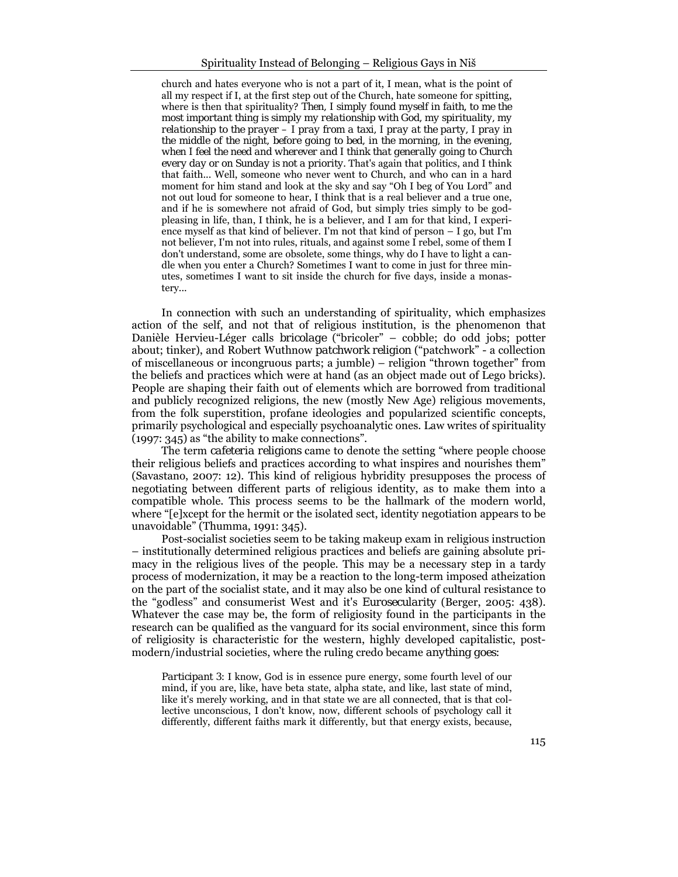church and hates everyone who is not a part of it, I mean, what is the point of all my respect if I, at the first step out of the Church, hate someone for spitting, where is then that spirituality? *Then, I simply found myself in faith, to me the most important thing is simply my relationship with God, my spirituality, my relationship to the prayer – I pray from a taxi, I pray at the party, I pray in*  the middle of the night, before going to bed, in the morning, in the evening, *when I feel the need and wherever and I think that generally going to Church every day or on Sunday is not a priority*. That's again that politics, and I think that faith... Well, someone who never went to Church, and who can in a hard moment for him stand and look at the sky and say "Oh I beg of You Lord" and not out loud for someone to hear, I think that is a real believer and a true one, and if he is somewhere not afraid of God, but simply tries simply to be godpleasing in life, than, I think, he is a believer, and I am for that kind, I experience myself as that kind of believer. I'm not that kind of person – I go, but I'm not believer, I'm not into rules, rituals, and against some I rebel, some of them I don't understand, some are obsolete, some things, why do I have to light a candle when you enter a Church? Sometimes I want to come in just for three minutes, sometimes I want to sit inside the church for five days, inside a monastery...

In connection with such an understanding of spirituality, which emphasizes action of the self, and not that of religious institution, is the phenomenon that Danièle Hervieu-Léger calls *bricolage* ("bricoler" – cobble; do odd jobs; potter about; tinker), and Robert Wuthnow *patchwork religion* ("patchwork" - a collection of miscellaneous or incongruous parts; a jumble) – religion "thrown together" from the beliefs and practices which were at hand (as an object made out of Lego bricks). People are shaping their faith out of elements which are borrowed from traditional and publicly recognized religions, the new (mostly New Age) religious movements, from the folk superstition, profane ideologies and popularized scientific concepts, primarily psychological and especially psychoanalytic ones. Law writes of spirituality (1997: 345) as "the ability to make connections".

The term *cafeteria religions* came to denote the setting "where people choose their religious beliefs and practices according to what inspires and nourishes them" (Savastano, 2007: 12). This kind of religious hybridity presupposes the process of negotiating between different parts of religious identity, as to make them into a compatible whole. This process seems to be the hallmark of the modern world, where "[e]xcept for the hermit or the isolated sect, identity negotiation appears to be unavoidable" (Thumma, 1991: 345).

Post-socialist societies seem to be taking makeup exam in religious instruction – institutionally determined religious practices and beliefs are gaining absolute primacy in the religious lives of the people. This may be a necessary step in a tardy process of modernization, it may be a reaction to the long-term imposed atheization on the part of the socialist state, and it may also be one kind of cultural resistance to the "godless" and consumerist West and it's *Eurosecularity* (Berger, 2005: 438). Whatever the case may be, the form of religiosity found in the participants in the research can be qualified as the vanguard for its social environment, since this form of religiosity is characteristic for the western, highly developed capitalistic, postmodern/industrial societies, where the ruling credo became *anything goes*:

*Participant 3*: I know, God is in essence pure energy, some fourth level of our mind, if you are, like, have beta state, alpha state, and like, last state of mind, like it's merely working, and in that state we are all connected, that is that collective unconscious, I don't know, now, different schools of psychology call it differently, different faiths mark it differently, but that energy exists, because,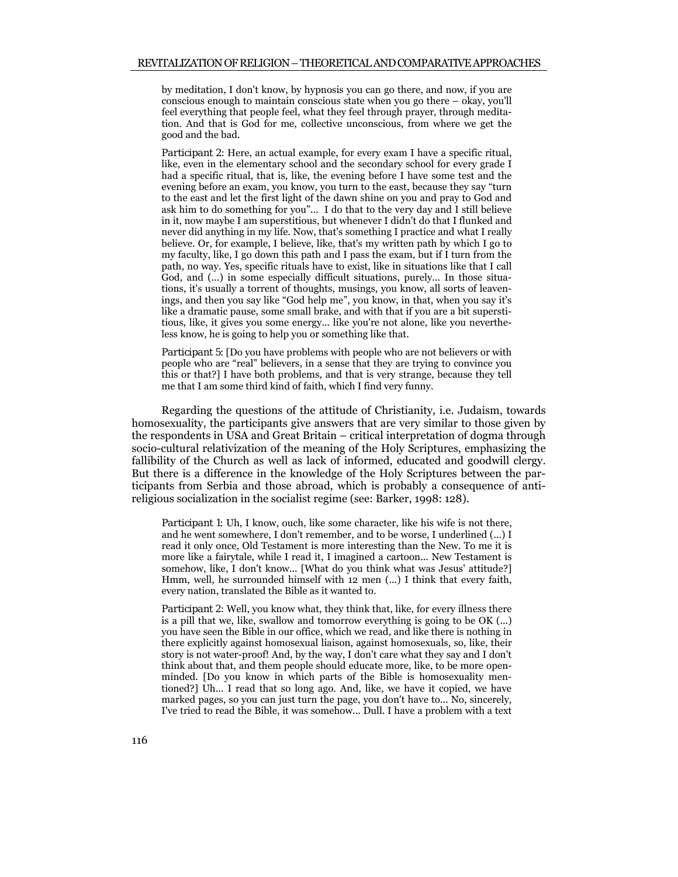by meditation, I don't know, by hypnosis you can go there, and now, if you are conscious enough to maintain conscious state when you go there – okay, you'll feel everything that people feel, what they feel through prayer, through meditation. And that is God for me, collective unconscious, from where we get the good and the bad.

*Participant 2*: Here, an actual example, for every exam I have a specific ritual, like, even in the elementary school and the secondary school for every grade I had a specific ritual, that is, like, the evening before I have some test and the evening before an exam, you know, you turn to the east, because they say "turn to the east and let the first light of the dawn shine on you and pray to God and ask him to do something for you"... I do that to the very day and I still believe in it, now maybe I am superstitious, but whenever I didn't do that I flunked and never did anything in my life. Now, that's something I practice and what I really believe. Or, for example, I believe, like, that's my written path by which I go to my faculty, like, I go down this path and I pass the exam, but if I turn from the path, no way. Yes, specific rituals have to exist, like in situations like that I call God, and  $(...)$  in some especially difficult situations, purely... In those situations, it's usually a torrent of thoughts, musings, you know, all sorts of leavenings, and then you say like "God help me", you know, in that, when you say it's like a dramatic pause, some small brake, and with that if you are a bit superstitious, like, it gives you some energy... like you're not alone, like you nevertheless know, he is going to help you or something like that.

*Participant 5*: [Do you have problems with people who are not believers or with people who are "real" believers, in a sense that they are trying to convince you this or that?] I have both problems, and that is very strange, because they tell me that I am some third kind of faith, which I find very funny.

Regarding the questions of the attitude of Christianity, i.e. Judaism, towards homosexuality, the participants give answers that are very similar to those given by the respondents in USA and Great Britain – critical interpretation of dogma through socio-cultural relativization of the meaning of the Holy Scriptures, emphasizing the fallibility of the Church as well as lack of informed, educated and goodwill clergy. But there is a difference in the knowledge of the Holy Scriptures between the participants from Serbia and those abroad, which is probably a consequence of antireligious socialization in the socialist regime (see: Barker, 1998: 128).

*Participant 1*: Uh, I know, ouch, like some character, like his wife is not there, and he went somewhere, I don't remember, and to be worse, I underlined (...) I read it only once, Old Testament is more interesting than the New. To me it is more like a fairytale, while I read it, I imagined a cartoon... New Testament is somehow, like, I don't know... [What do you think what was Jesus' attitude?] Hmm, well, he surrounded himself with 12 men (...) I think that every faith, every nation, translated the Bible as it wanted to.

*Participant 2*: Well, you know what, they think that, like, for every illness there is a pill that we, like, swallow and tomorrow everything is going to be OK (...) you have seen the Bible in our office, which we read, and like there is nothing in there explicitly against homosexual liaison, against homosexuals, so, like, their story is not water-proof! And, by the way, I don't care what they say and I don't think about that, and them people should educate more, like, to be more openminded. [Do you know in which parts of the Bible is homosexuality mentioned?] Uh... I read that so long ago. And, like, we have it copied, we have marked pages, so you can just turn the page, you don't have to... No, sincerely, I've tried to read the Bible, it was somehow... Dull. I have a problem with a text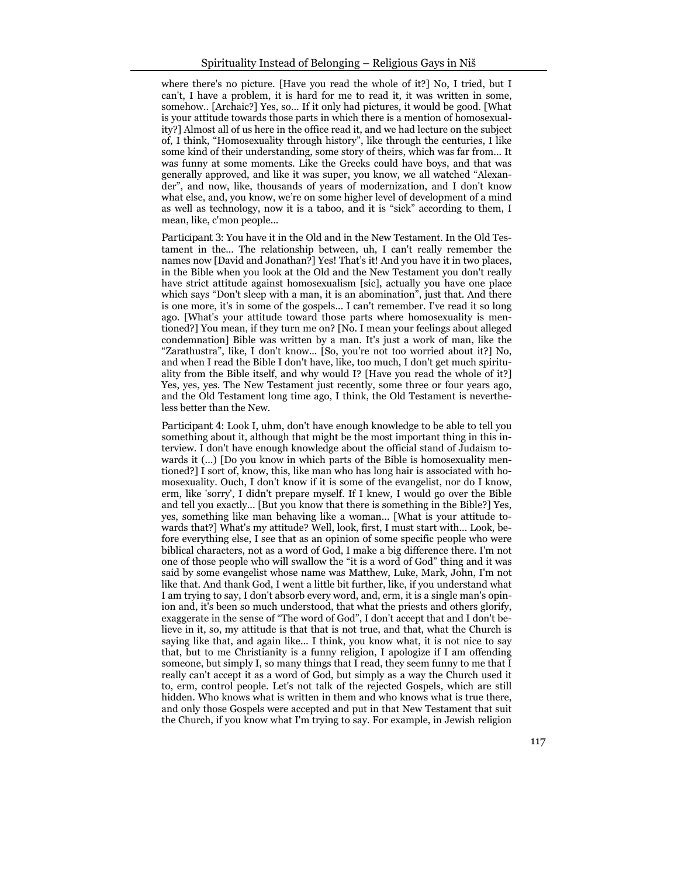where there's no picture. [Have you read the whole of it?] No, I tried, but I can't, I have a problem, it is hard for me to read it, it was written in some, somehow.. [Archaic?] Yes, so... If it only had pictures, it would be good. [What is your attitude towards those parts in which there is a mention of homosexuality?] Almost all of us here in the office read it, and we had lecture on the subject of, I think, "Homosexuality through history", like through the centuries, I like some kind of their understanding, some story of theirs, which was far from... It was funny at some moments. Like the Greeks could have boys, and that was generally approved, and like it was super, you know, we all watched "Alexander", and now, like, thousands of years of modernization, and I don't know what else, and, you know, we're on some higher level of development of a mind as well as technology, now it is a taboo, and it is "sick" according to them, I mean, like, c'mon people...

*Participant 3*: You have it in the Old and in the New Testament. In the Old Testament in the... The relationship between, uh, I can't really remember the names now [David and Jonathan?] Yes! That's it! And you have it in two places, in the Bible when you look at the Old and the New Testament you don't really have strict attitude against homosexualism [sic], actually you have one place which says "Don't sleep with a man, it is an abomination", just that. And there is one more, it's in some of the gospels... I can't remember. I've read it so long ago. [What's your attitude toward those parts where homosexuality is mentioned?] You mean, if they turn me on? [No. I mean your feelings about alleged condemnation] Bible was written by a man. It's just a work of man, like the "Zarathustra", like, I don't know... [So, you're not too worried about it?] No, and when I read the Bible I don't have, like, too much, I don't get much spirituality from the Bible itself, and why would I? [Have you read the whole of it?] Yes, yes, yes. The New Testament just recently, some three or four years ago, and the Old Testament long time ago, I think, the Old Testament is nevertheless better than the New.

*Participant 4*: Look I, uhm, don't have enough knowledge to be able to tell you something about it, although that might be the most important thing in this interview. I don't have enough knowledge about the official stand of Judaism towards it (...) [Do you know in which parts of the Bible is homosexuality mentioned?] I sort of, know, this, like man who has long hair is associated with homosexuality. Ouch, I don't know if it is some of the evangelist, nor do I know, erm, like 'sorry', I didn't prepare myself. If I knew, I would go over the Bible and tell you exactly... [But you know that there is something in the Bible?] Yes, yes, something like man behaving like a woman... [What is your attitude towards that?] What's my attitude? Well, look, first, I must start with... Look, before everything else, I see that as an opinion of some specific people who were biblical characters, not as a word of God, I make a big difference there. I'm not one of those people who will swallow the "it is a word of God" thing and it was said by some evangelist whose name was Matthew, Luke, Mark, John, I'm not like that. And thank God, I went a little bit further, like, if you understand what I am trying to say, I don't absorb every word, and, erm, it is a single man's opinion and, it's been so much understood, that what the priests and others glorify, exaggerate in the sense of "The word of God", I don't accept that and I don't believe in it, so, my attitude is that that is not true, and that, what the Church is saying like that, and again like... I think, you know what, it is not nice to say that, but to me Christianity is a funny religion, I apologize if I am offending someone, but simply I, so many things that I read, they seem funny to me that I really can't accept it as a word of God, but simply as a way the Church used it to, erm, control people. Let's not talk of the rejected Gospels, which are still hidden. Who knows what is written in them and who knows what is true there, and only those Gospels were accepted and put in that New Testament that suit the Church, if you know what I'm trying to say. For example, in Jewish religion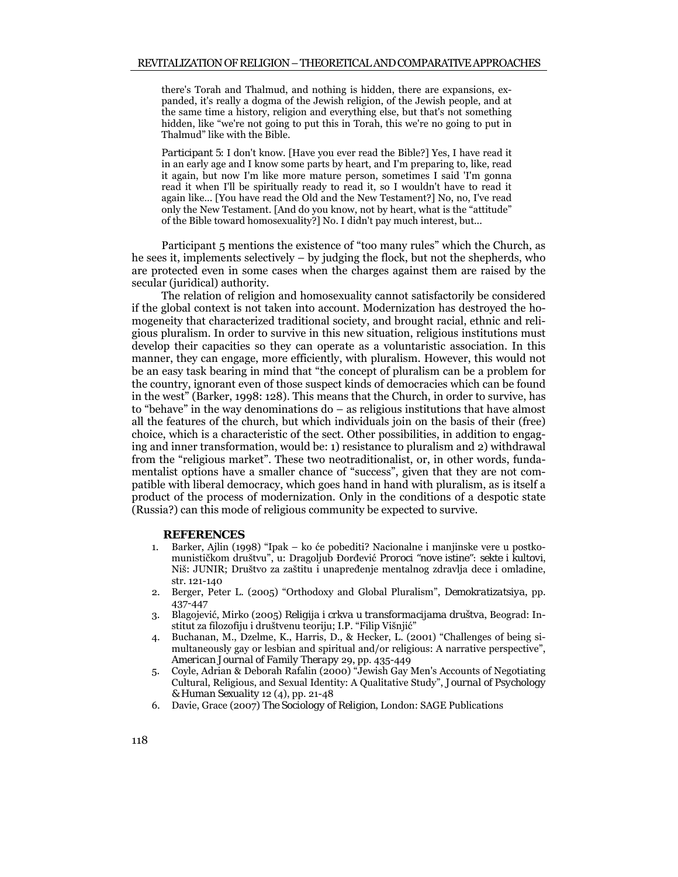there's Torah and Thalmud, and nothing is hidden, there are expansions, expanded, it's really a dogma of the Jewish religion, of the Jewish people, and at the same time a history, religion and everything else, but that's not something hidden, like "we're not going to put this in Torah, this we're no going to put in Thalmud" like with the Bible.

*Participant 5*: I don't know. [Have you ever read the Bible?] Yes, I have read it in an early age and I know some parts by heart, and I'm preparing to, like, read it again, but now I'm like more mature person, sometimes I said 'I'm gonna read it when I'll be spiritually ready to read it, so I wouldn't have to read it again like... [You have read the Old and the New Testament?] No, no, I've read only the New Testament. [And do you know, not by heart, what is the "attitude" of the Bible toward homosexuality?] No. I didn't pay much interest, but...

Participant 5 mentions the existence of "too many rules" which the Church, as he sees it, implements selectively – by judging the flock, but not the shepherds, who are protected even in some cases when the charges against them are raised by the secular (juridical) authority.

The relation of religion and homosexuality cannot satisfactorily be considered if the global context is not taken into account. Modernization has destroyed the homogeneity that characterized traditional society, and brought racial, ethnic and religious pluralism. In order to survive in this new situation, religious institutions must develop their capacities so they can operate as a voluntaristic association. In this manner, they can engage, more efficiently, with pluralism. However, this would not be an easy task bearing in mind that "the concept of pluralism can be a problem for the country, ignorant even of those suspect kinds of democracies which can be found in the west" (Barker, 1998: 128). This means that the Church, in order to survive, has to "behave" in the way denominations do – as religious institutions that have almost all the features of the church, but which individuals join on the basis of their (free) choice, which is a characteristic of the sect. Other possibilities, in addition to engaging and inner transformation, would be: 1) resistance to pluralism and 2) withdrawal from the "religious market". These two neotraditionalist, or, in other words, fundamentalist options have a smaller chance of "success", given that they are not compatible with liberal democracy, which goes hand in hand with pluralism, as is itself a product of the process of modernization. Only in the conditions of a despotic state (Russia?) can this mode of religious community be expected to survive.

## **REFERENCES**

- 1. Barker, Ajlin (1998) "Ipak ko će pobediti? Nacionalne i manjinske vere u postkomunističkom društvu", u: Dragoljub Đorđević *Proroci "nove istine": sekte i kultovi*, Niš: JUNIR; Društvo za zaštitu i unapređenje mentalnog zdravlja dece i omladine, str. 121-140
- 2. Berger, Peter L. (2005) "Orthodoxy and Global Pluralism", *Demokratizatsiya*, pp. 437-447
- 3. Blagojević, Mirko (2005) *Religija i crkva u transformacijama društva*, Beograd: Institut za filozofiju i društvenu teoriju; I.P. "Filip Višnjić"
- 4. Buchanan, M., Dzelme, K., Harris, D., & Hecker, L. (2001) "Challenges of being simultaneously gay or lesbian and spiritual and/or religious: A narrative perspective", *American Journal of Family Therapy* 29, pp. 435-449
- 5. Coyle, Adrian & Deborah Rafalin (2000) "Jewish Gay Men's Accounts of Negotiating Cultural, Religious, and Sexual Identity: A Qualitative Study", *Journal of Psychology & Human Sexuality* 12 (4), pp. 21-48
- 6. Davie, Grace (2007) *The Sociology of Religion*, London: SAGE Publications